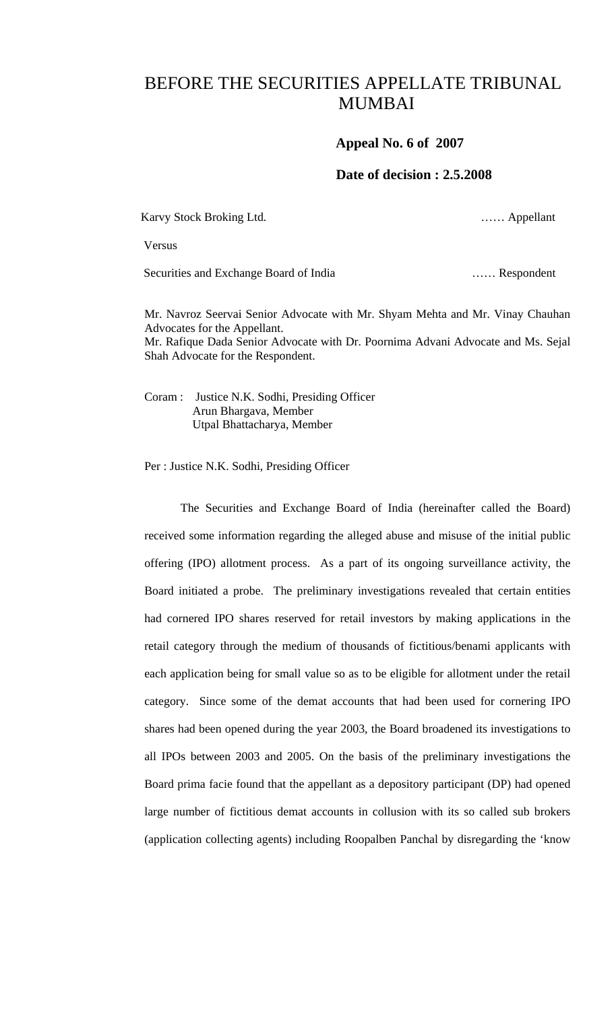## BEFORE THE SECURITIES APPELLATE TRIBUNAL MUMBAI

## **Appeal No. 6 of 2007**

## **Date of decision : 2.5.2008**

Karvy Stock Broking Ltd. "The Contract of the Contract of the Contract of the Contract of the Contract of the Contract of the Contract of the Contract of the Contract of the Contract of the Contract of the Contract of the

Versus

Securities and Exchange Board of India …… Respondent

Mr. Navroz Seervai Senior Advocate with Mr. Shyam Mehta and Mr. Vinay Chauhan Advocates for the Appellant. Mr. Rafique Dada Senior Advocate with Dr. Poornima Advani Advocate and Ms. Sejal Shah Advocate for the Respondent.

Coram : Justice N.K. Sodhi, Presiding Officer Arun Bhargava, Member Utpal Bhattacharya, Member

Per : Justice N.K. Sodhi, Presiding Officer

 The Securities and Exchange Board of India (hereinafter called the Board) received some information regarding the alleged abuse and misuse of the initial public offering (IPO) allotment process. As a part of its ongoing surveillance activity, the Board initiated a probe. The preliminary investigations revealed that certain entities had cornered IPO shares reserved for retail investors by making applications in the retail category through the medium of thousands of fictitious/benami applicants with each application being for small value so as to be eligible for allotment under the retail category. Since some of the demat accounts that had been used for cornering IPO shares had been opened during the year 2003, the Board broadened its investigations to all IPOs between 2003 and 2005. On the basis of the preliminary investigations the Board prima facie found that the appellant as a depository participant (DP) had opened large number of fictitious demat accounts in collusion with its so called sub brokers (application collecting agents) including Roopalben Panchal by disregarding the 'know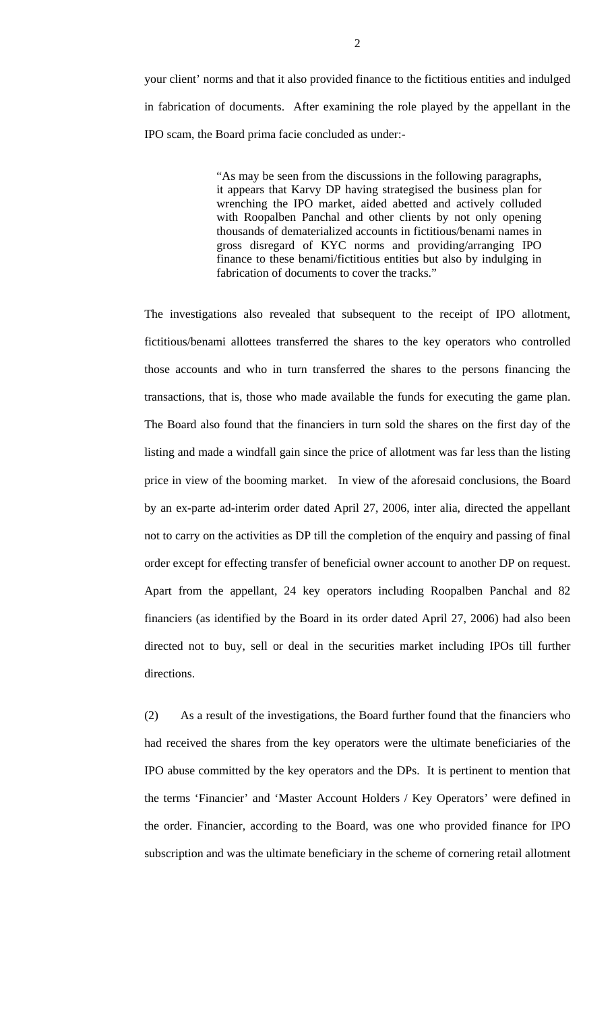your client' norms and that it also provided finance to the fictitious entities and indulged in fabrication of documents. After examining the role played by the appellant in the IPO scam, the Board prima facie concluded as under:-

> "As may be seen from the discussions in the following paragraphs, it appears that Karvy DP having strategised the business plan for wrenching the IPO market, aided abetted and actively colluded with Roopalben Panchal and other clients by not only opening thousands of dematerialized accounts in fictitious/benami names in gross disregard of KYC norms and providing/arranging IPO finance to these benami/fictitious entities but also by indulging in fabrication of documents to cover the tracks."

The investigations also revealed that subsequent to the receipt of IPO allotment, fictitious/benami allottees transferred the shares to the key operators who controlled those accounts and who in turn transferred the shares to the persons financing the transactions, that is, those who made available the funds for executing the game plan. The Board also found that the financiers in turn sold the shares on the first day of the listing and made a windfall gain since the price of allotment was far less than the listing price in view of the booming market. In view of the aforesaid conclusions, the Board by an ex-parte ad-interim order dated April 27, 2006, inter alia, directed the appellant not to carry on the activities as DP till the completion of the enquiry and passing of final order except for effecting transfer of beneficial owner account to another DP on request. Apart from the appellant, 24 key operators including Roopalben Panchal and 82 financiers (as identified by the Board in its order dated April 27, 2006) had also been directed not to buy, sell or deal in the securities market including IPOs till further directions.

(2) As a result of the investigations, the Board further found that the financiers who had received the shares from the key operators were the ultimate beneficiaries of the IPO abuse committed by the key operators and the DPs. It is pertinent to mention that the terms 'Financier' and 'Master Account Holders / Key Operators' were defined in the order. Financier, according to the Board, was one who provided finance for IPO subscription and was the ultimate beneficiary in the scheme of cornering retail allotment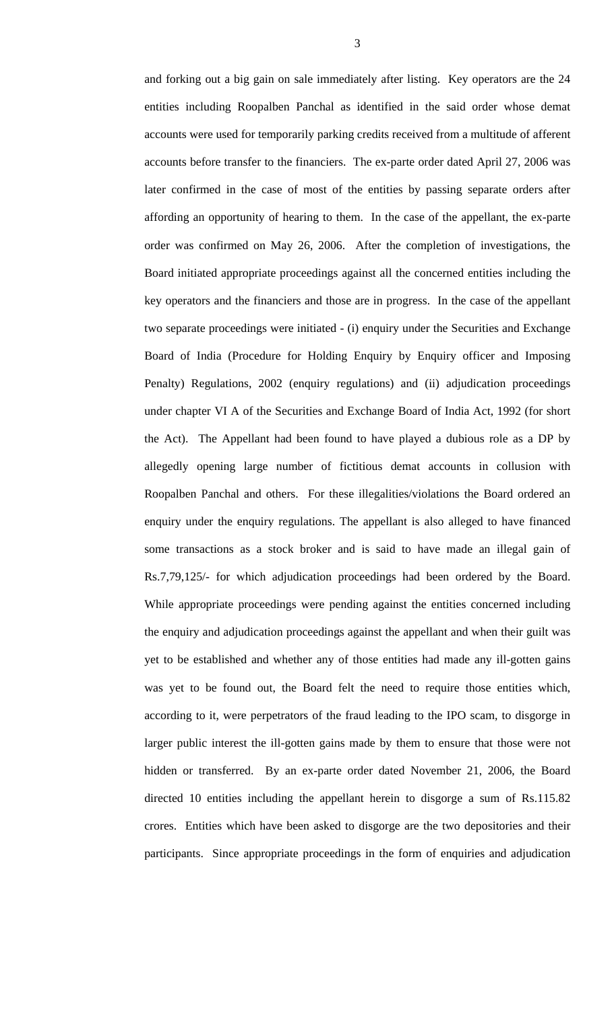and forking out a big gain on sale immediately after listing. Key operators are the 24 entities including Roopalben Panchal as identified in the said order whose demat accounts were used for temporarily parking credits received from a multitude of afferent accounts before transfer to the financiers. The ex-parte order dated April 27, 2006 was later confirmed in the case of most of the entities by passing separate orders after affording an opportunity of hearing to them. In the case of the appellant, the ex-parte order was confirmed on May 26, 2006. After the completion of investigations, the Board initiated appropriate proceedings against all the concerned entities including the key operators and the financiers and those are in progress. In the case of the appellant two separate proceedings were initiated - (i) enquiry under the Securities and Exchange Board of India (Procedure for Holding Enquiry by Enquiry officer and Imposing Penalty) Regulations, 2002 (enquiry regulations) and (ii) adjudication proceedings under chapter VI A of the Securities and Exchange Board of India Act, 1992 (for short the Act). The Appellant had been found to have played a dubious role as a DP by allegedly opening large number of fictitious demat accounts in collusion with Roopalben Panchal and others. For these illegalities/violations the Board ordered an enquiry under the enquiry regulations. The appellant is also alleged to have financed some transactions as a stock broker and is said to have made an illegal gain of Rs.7,79,125/- for which adjudication proceedings had been ordered by the Board. While appropriate proceedings were pending against the entities concerned including the enquiry and adjudication proceedings against the appellant and when their guilt was yet to be established and whether any of those entities had made any ill-gotten gains was yet to be found out, the Board felt the need to require those entities which, according to it, were perpetrators of the fraud leading to the IPO scam, to disgorge in larger public interest the ill-gotten gains made by them to ensure that those were not hidden or transferred. By an ex-parte order dated November 21, 2006, the Board directed 10 entities including the appellant herein to disgorge a sum of Rs.115.82 crores. Entities which have been asked to disgorge are the two depositories and their participants. Since appropriate proceedings in the form of enquiries and adjudication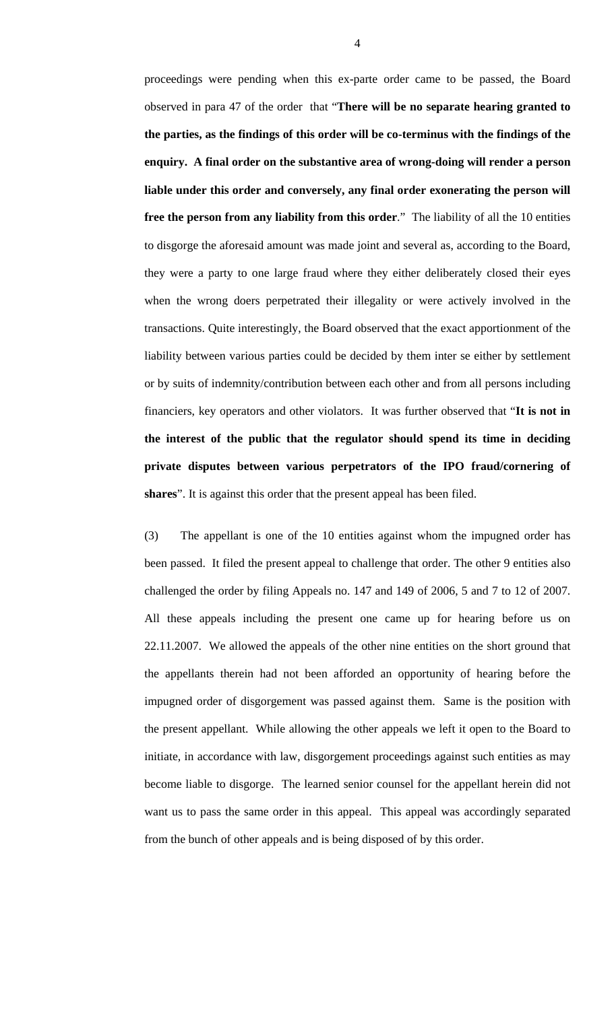proceedings were pending when this ex-parte order came to be passed, the Board observed in para 47 of the order that "**There will be no separate hearing granted to the parties, as the findings of this order will be co-terminus with the findings of the enquiry. A final order on the substantive area of wrong-doing will render a person liable under this order and conversely, any final order exonerating the person will free the person from any liability from this order**." The liability of all the 10 entities to disgorge the aforesaid amount was made joint and several as, according to the Board, they were a party to one large fraud where they either deliberately closed their eyes when the wrong doers perpetrated their illegality or were actively involved in the transactions. Quite interestingly, the Board observed that the exact apportionment of the liability between various parties could be decided by them inter se either by settlement or by suits of indemnity/contribution between each other and from all persons including financiers, key operators and other violators. It was further observed that "**It is not in the interest of the public that the regulator should spend its time in deciding private disputes between various perpetrators of the IPO fraud/cornering of shares**". It is against this order that the present appeal has been filed.

(3) The appellant is one of the 10 entities against whom the impugned order has been passed. It filed the present appeal to challenge that order. The other 9 entities also challenged the order by filing Appeals no. 147 and 149 of 2006, 5 and 7 to 12 of 2007. All these appeals including the present one came up for hearing before us on 22.11.2007. We allowed the appeals of the other nine entities on the short ground that the appellants therein had not been afforded an opportunity of hearing before the impugned order of disgorgement was passed against them. Same is the position with the present appellant. While allowing the other appeals we left it open to the Board to initiate, in accordance with law, disgorgement proceedings against such entities as may become liable to disgorge. The learned senior counsel for the appellant herein did not want us to pass the same order in this appeal. This appeal was accordingly separated from the bunch of other appeals and is being disposed of by this order.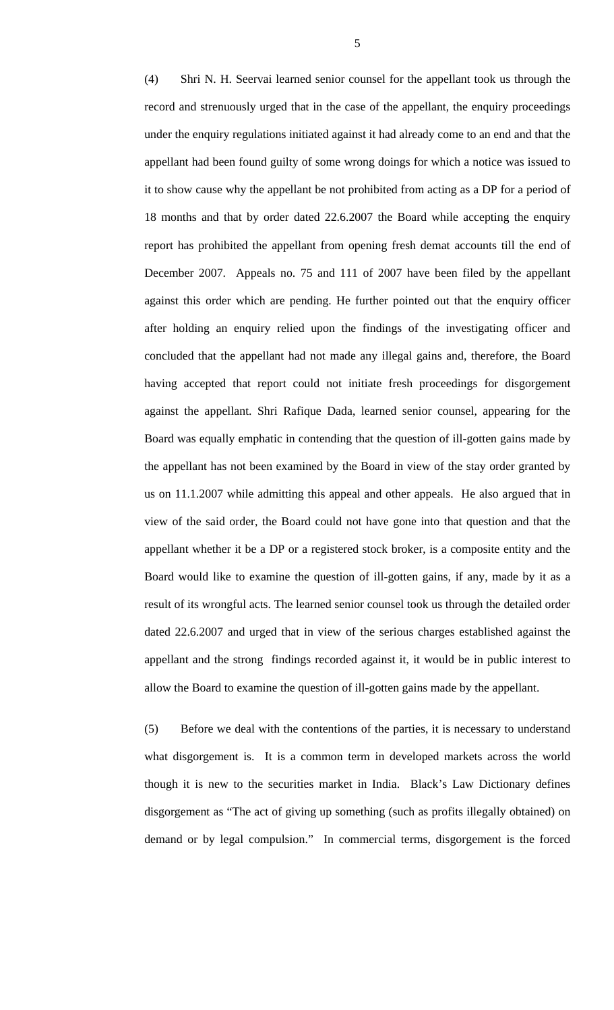(4) Shri N. H. Seervai learned senior counsel for the appellant took us through the record and strenuously urged that in the case of the appellant, the enquiry proceedings under the enquiry regulations initiated against it had already come to an end and that the appellant had been found guilty of some wrong doings for which a notice was issued to it to show cause why the appellant be not prohibited from acting as a DP for a period of 18 months and that by order dated 22.6.2007 the Board while accepting the enquiry report has prohibited the appellant from opening fresh demat accounts till the end of December 2007. Appeals no. 75 and 111 of 2007 have been filed by the appellant against this order which are pending. He further pointed out that the enquiry officer after holding an enquiry relied upon the findings of the investigating officer and concluded that the appellant had not made any illegal gains and, therefore, the Board having accepted that report could not initiate fresh proceedings for disgorgement against the appellant. Shri Rafique Dada, learned senior counsel, appearing for the Board was equally emphatic in contending that the question of ill-gotten gains made by the appellant has not been examined by the Board in view of the stay order granted by us on 11.1.2007 while admitting this appeal and other appeals. He also argued that in view of the said order, the Board could not have gone into that question and that the appellant whether it be a DP or a registered stock broker, is a composite entity and the Board would like to examine the question of ill-gotten gains, if any, made by it as a result of its wrongful acts. The learned senior counsel took us through the detailed order dated 22.6.2007 and urged that in view of the serious charges established against the appellant and the strong findings recorded against it, it would be in public interest to allow the Board to examine the question of ill-gotten gains made by the appellant.

(5) Before we deal with the contentions of the parties, it is necessary to understand what disgorgement is. It is a common term in developed markets across the world though it is new to the securities market in India. Black's Law Dictionary defines disgorgement as "The act of giving up something (such as profits illegally obtained) on demand or by legal compulsion." In commercial terms, disgorgement is the forced

5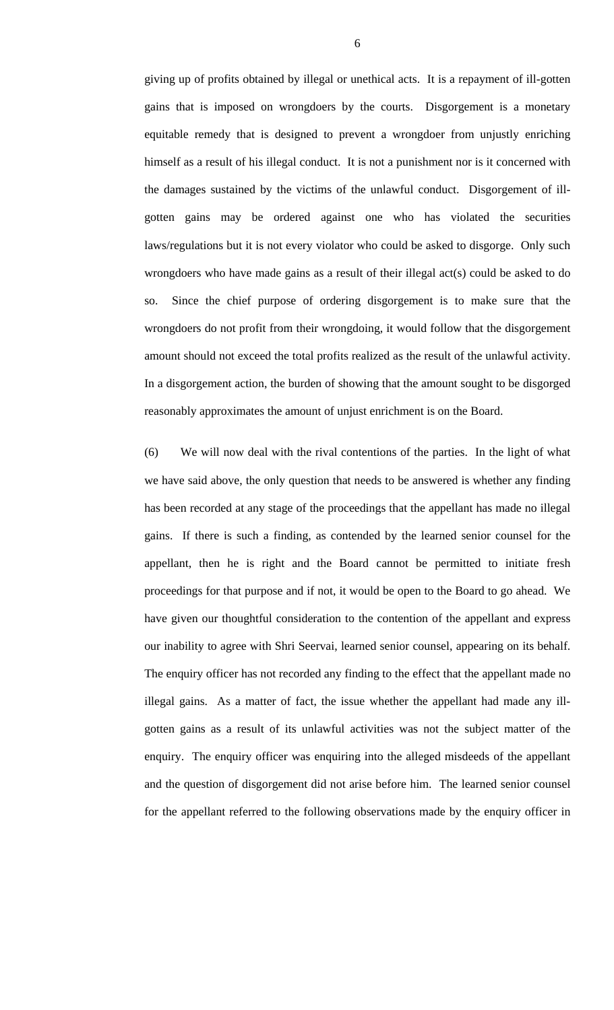giving up of profits obtained by illegal or unethical acts. It is a repayment of ill-gotten gains that is imposed on wrongdoers by the courts. Disgorgement is a monetary equitable remedy that is designed to prevent a wrongdoer from unjustly enriching himself as a result of his illegal conduct. It is not a punishment nor is it concerned with the damages sustained by the victims of the unlawful conduct. Disgorgement of illgotten gains may be ordered against one who has violated the securities laws/regulations but it is not every violator who could be asked to disgorge. Only such wrongdoers who have made gains as a result of their illegal act(s) could be asked to do so. Since the chief purpose of ordering disgorgement is to make sure that the wrongdoers do not profit from their wrongdoing, it would follow that the disgorgement amount should not exceed the total profits realized as the result of the unlawful activity. In a disgorgement action, the burden of showing that the amount sought to be disgorged reasonably approximates the amount of unjust enrichment is on the Board.

(6) We will now deal with the rival contentions of the parties. In the light of what we have said above, the only question that needs to be answered is whether any finding has been recorded at any stage of the proceedings that the appellant has made no illegal gains. If there is such a finding, as contended by the learned senior counsel for the appellant, then he is right and the Board cannot be permitted to initiate fresh proceedings for that purpose and if not, it would be open to the Board to go ahead. We have given our thoughtful consideration to the contention of the appellant and express our inability to agree with Shri Seervai, learned senior counsel, appearing on its behalf. The enquiry officer has not recorded any finding to the effect that the appellant made no illegal gains. As a matter of fact, the issue whether the appellant had made any illgotten gains as a result of its unlawful activities was not the subject matter of the enquiry. The enquiry officer was enquiring into the alleged misdeeds of the appellant and the question of disgorgement did not arise before him. The learned senior counsel for the appellant referred to the following observations made by the enquiry officer in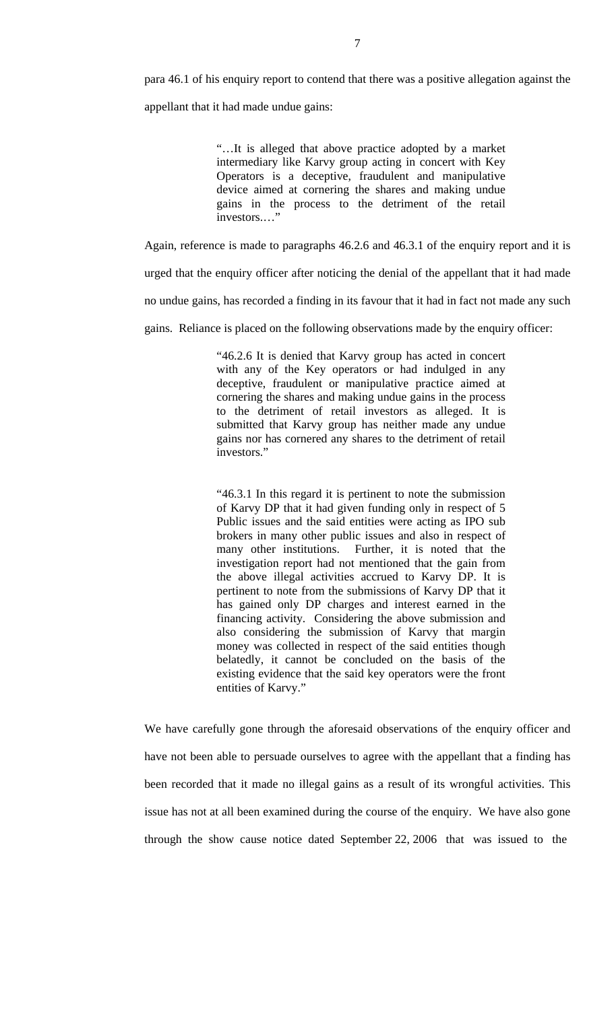para 46.1 of his enquiry report to contend that there was a positive allegation against the appellant that it had made undue gains:

> "…It is alleged that above practice adopted by a market intermediary like Karvy group acting in concert with Key Operators is a deceptive, fraudulent and manipulative device aimed at cornering the shares and making undue gains in the process to the detriment of the retail investors.…"

Again, reference is made to paragraphs 46.2.6 and 46.3.1 of the enquiry report and it is

urged that the enquiry officer after noticing the denial of the appellant that it had made

no undue gains, has recorded a finding in its favour that it had in fact not made any such

gains. Reliance is placed on the following observations made by the enquiry officer:

"46.2.6 It is denied that Karvy group has acted in concert with any of the Key operators or had indulged in any deceptive, fraudulent or manipulative practice aimed at cornering the shares and making undue gains in the process to the detriment of retail investors as alleged. It is submitted that Karvy group has neither made any undue gains nor has cornered any shares to the detriment of retail investors."

"46.3.1 In this regard it is pertinent to note the submission of Karvy DP that it had given funding only in respect of 5 Public issues and the said entities were acting as IPO sub brokers in many other public issues and also in respect of many other institutions. Further, it is noted that the investigation report had not mentioned that the gain from the above illegal activities accrued to Karvy DP. It is pertinent to note from the submissions of Karvy DP that it has gained only DP charges and interest earned in the financing activity. Considering the above submission and also considering the submission of Karvy that margin money was collected in respect of the said entities though belatedly, it cannot be concluded on the basis of the existing evidence that the said key operators were the front entities of Karvy."

We have carefully gone through the aforesaid observations of the enquiry officer and have not been able to persuade ourselves to agree with the appellant that a finding has been recorded that it made no illegal gains as a result of its wrongful activities. This issue has not at all been examined during the course of the enquiry. We have also gone through the show cause notice dated September 22, 2006 that was issued to the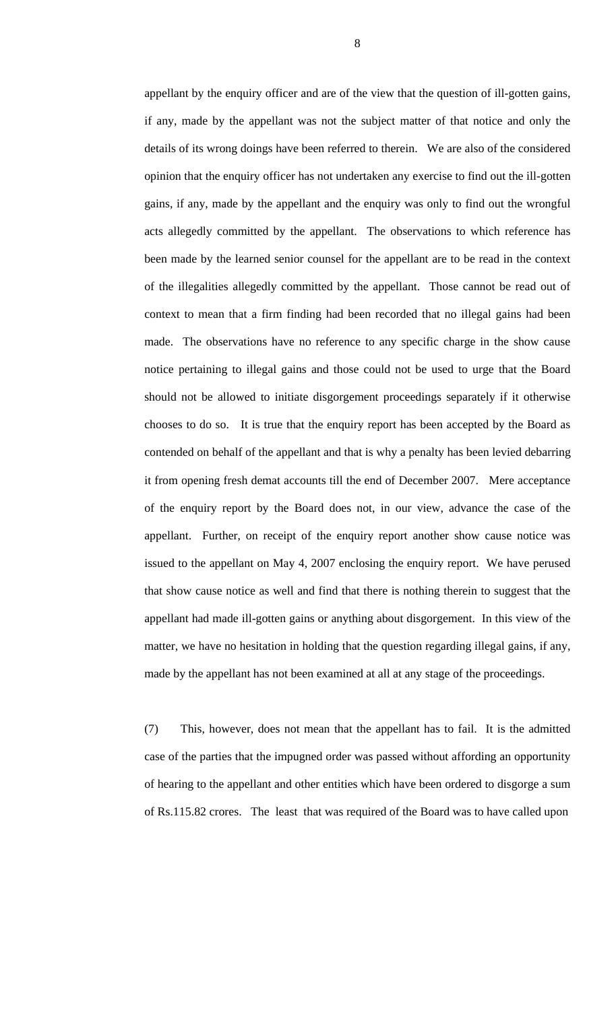appellant by the enquiry officer and are of the view that the question of ill-gotten gains, if any, made by the appellant was not the subject matter of that notice and only the details of its wrong doings have been referred to therein. We are also of the considered opinion that the enquiry officer has not undertaken any exercise to find out the ill-gotten gains, if any, made by the appellant and the enquiry was only to find out the wrongful acts allegedly committed by the appellant. The observations to which reference has been made by the learned senior counsel for the appellant are to be read in the context of the illegalities allegedly committed by the appellant. Those cannot be read out of context to mean that a firm finding had been recorded that no illegal gains had been made. The observations have no reference to any specific charge in the show cause notice pertaining to illegal gains and those could not be used to urge that the Board should not be allowed to initiate disgorgement proceedings separately if it otherwise chooses to do so. It is true that the enquiry report has been accepted by the Board as contended on behalf of the appellant and that is why a penalty has been levied debarring it from opening fresh demat accounts till the end of December 2007. Mere acceptance of the enquiry report by the Board does not, in our view, advance the case of the appellant. Further, on receipt of the enquiry report another show cause notice was issued to the appellant on May 4, 2007 enclosing the enquiry report. We have perused that show cause notice as well and find that there is nothing therein to suggest that the appellant had made ill-gotten gains or anything about disgorgement. In this view of the matter, we have no hesitation in holding that the question regarding illegal gains, if any, made by the appellant has not been examined at all at any stage of the proceedings.

(7) This, however, does not mean that the appellant has to fail. It is the admitted case of the parties that the impugned order was passed without affording an opportunity of hearing to the appellant and other entities which have been ordered to disgorge a sum of Rs.115.82 crores. The least that was required of the Board was to have called upon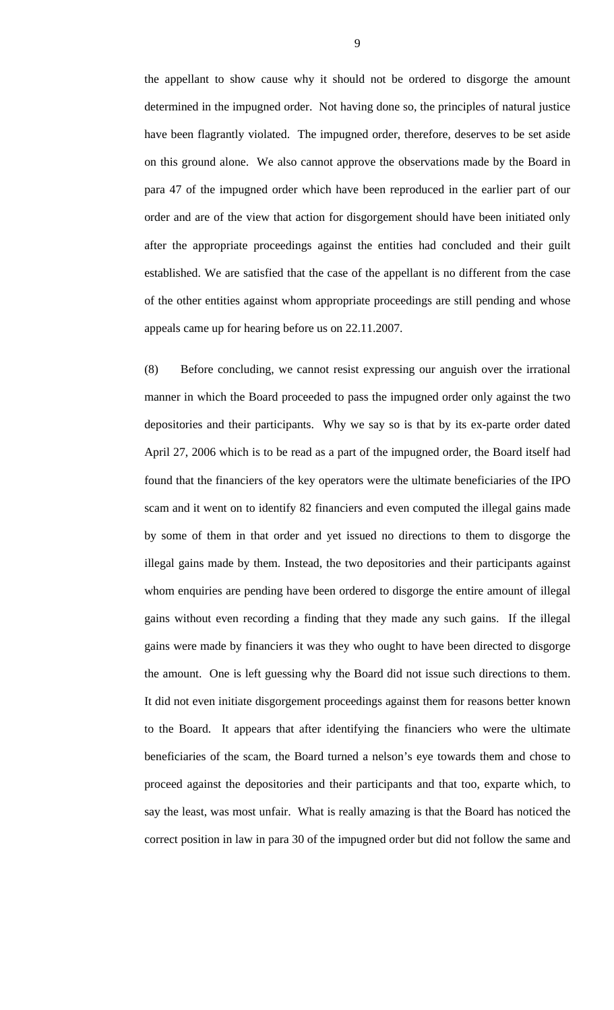the appellant to show cause why it should not be ordered to disgorge the amount determined in the impugned order. Not having done so, the principles of natural justice have been flagrantly violated. The impugned order, therefore, deserves to be set aside on this ground alone. We also cannot approve the observations made by the Board in para 47 of the impugned order which have been reproduced in the earlier part of our order and are of the view that action for disgorgement should have been initiated only after the appropriate proceedings against the entities had concluded and their guilt established. We are satisfied that the case of the appellant is no different from the case of the other entities against whom appropriate proceedings are still pending and whose appeals came up for hearing before us on 22.11.2007.

(8) Before concluding, we cannot resist expressing our anguish over the irrational manner in which the Board proceeded to pass the impugned order only against the two depositories and their participants. Why we say so is that by its ex-parte order dated April 27, 2006 which is to be read as a part of the impugned order, the Board itself had found that the financiers of the key operators were the ultimate beneficiaries of the IPO scam and it went on to identify 82 financiers and even computed the illegal gains made by some of them in that order and yet issued no directions to them to disgorge the illegal gains made by them. Instead, the two depositories and their participants against whom enquiries are pending have been ordered to disgorge the entire amount of illegal gains without even recording a finding that they made any such gains. If the illegal gains were made by financiers it was they who ought to have been directed to disgorge the amount. One is left guessing why the Board did not issue such directions to them. It did not even initiate disgorgement proceedings against them for reasons better known to the Board. It appears that after identifying the financiers who were the ultimate beneficiaries of the scam, the Board turned a nelson's eye towards them and chose to proceed against the depositories and their participants and that too, exparte which, to say the least, was most unfair. What is really amazing is that the Board has noticed the correct position in law in para 30 of the impugned order but did not follow the same and